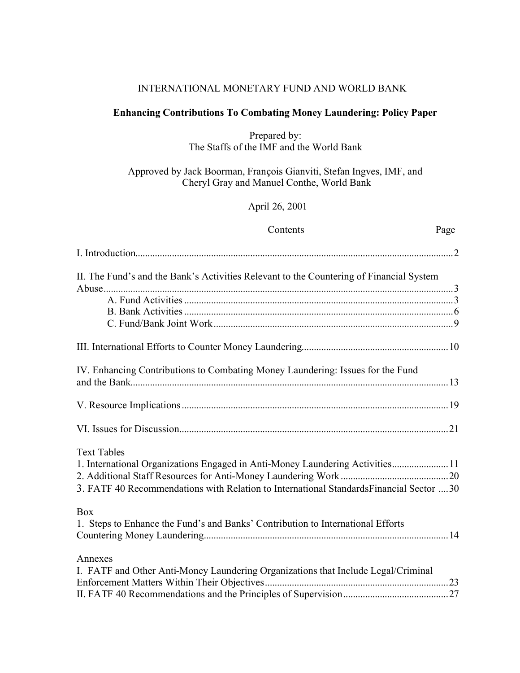#### INTERNATIONAL MONETARY FUND AND WORLD BANK

## **Enhancing Contributions To Combating Money Laundering: Policy Paper**

Prepared by: The Staffs of the IMF and the World Bank

Approved by Jack Boorman, François Gianviti, Stefan Ingves, IMF, and Cheryl Gray and Manuel Conthe, World Bank

April 26, 2001

### Contents Page

| II. The Fund's and the Bank's Activities Relevant to the Countering of Financial System       |
|-----------------------------------------------------------------------------------------------|
|                                                                                               |
|                                                                                               |
|                                                                                               |
|                                                                                               |
|                                                                                               |
| IV. Enhancing Contributions to Combating Money Laundering: Issues for the Fund                |
|                                                                                               |
|                                                                                               |
| <b>Text Tables</b>                                                                            |
| 1. International Organizations Engaged in Anti-Money Laundering Activities11                  |
|                                                                                               |
| 3. FATF 40 Recommendations with Relation to International Standards Financial Sector  30      |
| <b>Box</b><br>1. Steps to Enhance the Fund's and Banks' Contribution to International Efforts |
| Annexes                                                                                       |
| I. FATF and Other Anti-Money Laundering Organizations that Include Legal/Criminal             |
|                                                                                               |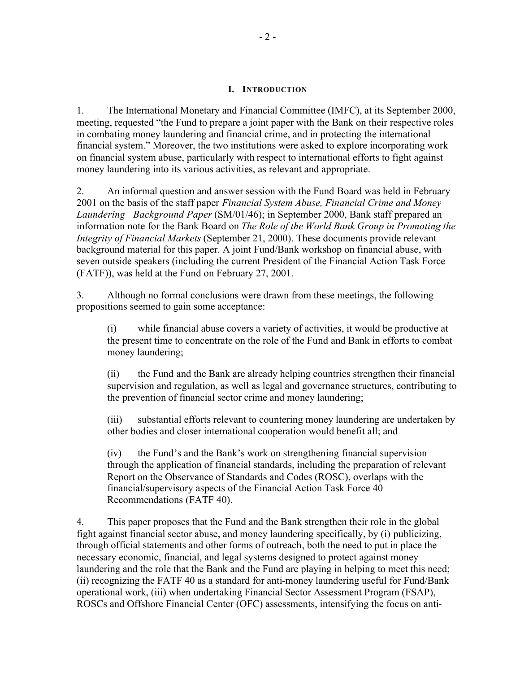#### **I. INTRODUCTION**

1. The International Monetary and Financial Committee (IMFC), at its September 2000, meeting, requested "the Fund to prepare a joint paper with the Bank on their respective roles in combating money laundering and financial crime, and in protecting the international financial system." Moreover, the two institutions were asked to explore incorporating work on financial system abuse, particularly with respect to international efforts to fight against money laundering into its various activities, as relevant and appropriate.

2. An informal question and answer session with the Fund Board was held in February 2001 on the basis of the staff paper *Financial System Abuse, Financial Crime and Money Laundering Background Paper* (SM/01/46); in September 2000, Bank staff prepared an information note for the Bank Board on *The Role of the World Bank Group in Promoting the Integrity of Financial Markets* (September 21, 2000). These documents provide relevant background material for this paper. A joint Fund/Bank workshop on financial abuse, with seven outside speakers (including the current President of the Financial Action Task Force (FATF)), was held at the Fund on February 27, 2001.

3. Although no formal conclusions were drawn from these meetings, the following propositions seemed to gain some acceptance:

(i) while financial abuse covers a variety of activities, it would be productive at the present time to concentrate on the role of the Fund and Bank in efforts to combat money laundering;

(ii) the Fund and the Bank are already helping countries strengthen their financial supervision and regulation, as well as legal and governance structures, contributing to the prevention of financial sector crime and money laundering;

(iii) substantial efforts relevant to countering money laundering are undertaken by other bodies and closer international cooperation would benefit all; and

(iv) the Fund's and the Bank's work on strengthening financial supervision through the application of financial standards, including the preparation of relevant Report on the Observance of Standards and Codes (ROSC), overlaps with the financial/supervisory aspects of the Financial Action Task Force 40 Recommendations (FATF 40).

4. This paper proposes that the Fund and the Bank strengthen their role in the global fight against financial sector abuse, and money laundering specifically, by (i) publicizing, through official statements and other forms of outreach, both the need to put in place the necessary economic, financial, and legal systems designed to protect against money laundering and the role that the Bank and the Fund are playing in helping to meet this need; (ii) recognizing the FATF 40 as a standard for anti-money laundering useful for Fund/Bank operational work, (iii) when undertaking Financial Sector Assessment Program (FSAP), ROSCs and Offshore Financial Center (OFC) assessments, intensifying the focus on anti-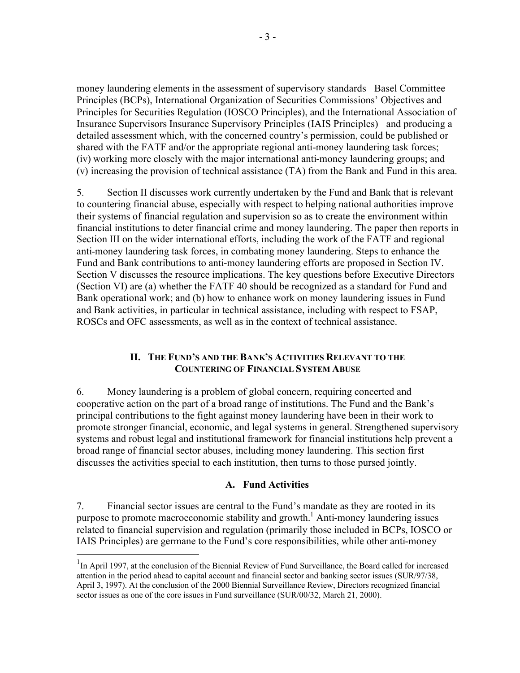money laundering elements in the assessment of supervisory standards Basel Committee Principles (BCPs), International Organization of Securities Commissions' Objectives and Principles for Securities Regulation (IOSCO Principles), and the International Association of Insurance Supervisors Insurance Supervisory Principles (IAIS Principles) and producing a detailed assessment which, with the concerned country's permission, could be published or shared with the FATF and/or the appropriate regional anti-money laundering task forces; (iv) working more closely with the major international anti-money laundering groups; and (v) increasing the provision of technical assistance (TA) from the Bank and Fund in this area.

5. Section II discusses work currently undertaken by the Fund and Bank that is relevant to countering financial abuse, especially with respect to helping national authorities improve their systems of financial regulation and supervision so as to create the environment within financial institutions to deter financial crime and money laundering. The paper then reports in Section III on the wider international efforts, including the work of the FATF and regional anti-money laundering task forces, in combating money laundering. Steps to enhance the Fund and Bank contributions to anti-money laundering efforts are proposed in Section IV. Section V discusses the resource implications. The key questions before Executive Directors (Section VI) are (a) whether the FATF 40 should be recognized as a standard for Fund and Bank operational work; and (b) how to enhance work on money laundering issues in Fund and Bank activities, in particular in technical assistance, including with respect to FSAP, ROSCs and OFC assessments, as well as in the context of technical assistance.

#### **II. THE FUND'S AND THE BANK'S ACTIVITIES RELEVANT TO THE COUNTERING OF FINANCIAL SYSTEM ABUSE**

6. Money laundering is a problem of global concern, requiring concerted and cooperative action on the part of a broad range of institutions. The Fund and the Bank's principal contributions to the fight against money laundering have been in their work to promote stronger financial, economic, and legal systems in general. Strengthened supervisory systems and robust legal and institutional framework for financial institutions help prevent a broad range of financial sector abuses, including money laundering. This section first discusses the activities special to each institution, then turns to those pursed jointly.

## **A. Fund Activities**

7. Financial sector issues are central to the Fund's mandate as they are rooted in its purpose to promote macroeconomic stability and growth.<sup>1</sup> Anti-money laundering issues related to financial supervision and regulation (primarily those included in BCPs, IOSCO or IAIS Principles) are germane to the Fund's core responsibilities, while other anti-money

1

<sup>&</sup>lt;sup>1</sup>In April 1997, at the conclusion of the Biennial Review of Fund Surveillance, the Board called for increased attention in the period ahead to capital account and financial sector and banking sector issues (SUR/97/38, April 3, 1997). At the conclusion of the 2000 Biennial Surveillance Review, Directors recognized financial sector issues as one of the core issues in Fund surveillance (SUR/00/32, March 21, 2000).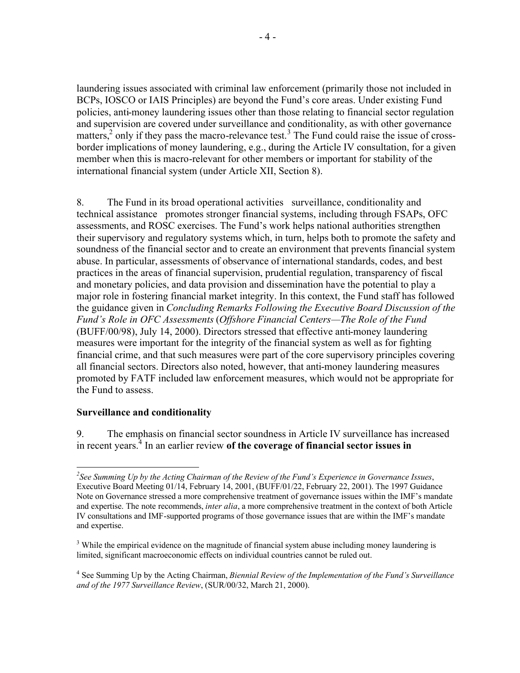laundering issues associated with criminal law enforcement (primarily those not included in BCPs, IOSCO or IAIS Principles) are beyond the Fund's core areas. Under existing Fund policies, anti-money laundering issues other than those relating to financial sector regulation and supervision are covered under surveillance and conditionality, as with other governance matters,<sup>2</sup> only if they pass the macro-relevance test.<sup>3</sup> The Fund could raise the issue of crossborder implications of money laundering, e.g., during the Article IV consultation, for a given member when this is macro-relevant for other members or important for stability of the international financial system (under Article XII, Section 8).

8. The Fund in its broad operational activities surveillance, conditionality and technical assistance promotes stronger financial systems, including through FSAPs, OFC assessments, and ROSC exercises. The Fund's work helps national authorities strengthen their supervisory and regulatory systems which, in turn, helps both to promote the safety and soundness of the financial sector and to create an environment that prevents financial system abuse. In particular, assessments of observance of international standards, codes, and best practices in the areas of financial supervision, prudential regulation, transparency of fiscal and monetary policies, and data provision and dissemination have the potential to play a major role in fostering financial market integrity. In this context, the Fund staff has followed the guidance given in *Concluding Remarks Following the Executive Board Discussion of the Fund's Role in OFC Assessments* (*Offshore Financial Centers—The Role of the Fund* (BUFF/00/98), July 14, 2000). Directors stressed that effective anti-money laundering measures were important for the integrity of the financial system as well as for fighting financial crime, and that such measures were part of the core supervisory principles covering all financial sectors. Directors also noted, however, that anti-money laundering measures promoted by FATF included law enforcement measures, which would not be appropriate for the Fund to assess.

#### **Surveillance and conditionality**

1

9. The emphasis on financial sector soundness in Article IV surveillance has increased in recent years.<sup>4</sup> In an earlier review of the coverage of financial sector issues in

*<sup>2</sup> See Summing Up by the Acting Chairman of the Review of the Fund's Experience in Governance Issues*, Executive Board Meeting 01/14, February 14, 2001, (BUFF/01/22, February 22, 2001). The 1997 Guidance Note on Governance stressed a more comprehensive treatment of governance issues within the IMF's mandate and expertise. The note recommends, *inter alia*, a more comprehensive treatment in the context of both Article IV consultations and IMF-supported programs of those governance issues that are within the IMF's mandate and expertise.

<sup>&</sup>lt;sup>3</sup> While the empirical evidence on the magnitude of financial system abuse including money laundering is limited, significant macroeconomic effects on individual countries cannot be ruled out.

<sup>4</sup> See Summing Up by the Acting Chairman, *Biennial Review of the Implementation of the Fund's Surveillance and of the 1977 Surveillance Review*, (SUR/00/32, March 21, 2000).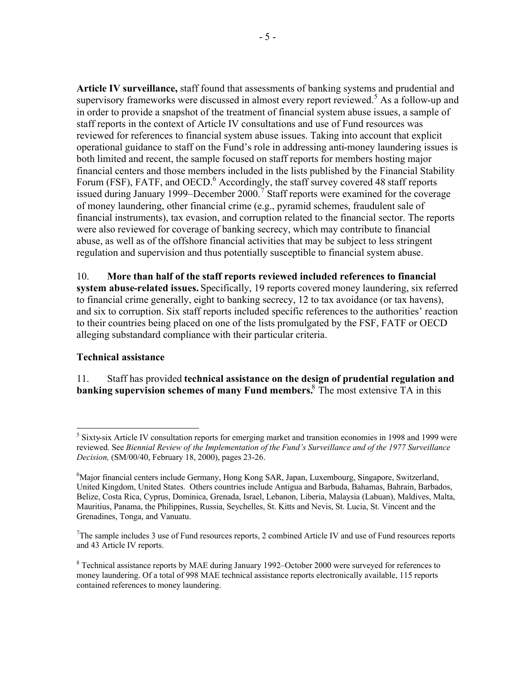**Article IV surveillance,** staff found that assessments of banking systems and prudential and supervisory frameworks were discussed in almost every report reviewed.<sup>5</sup> As a follow-up and in order to provide a snapshot of the treatment of financial system abuse issues, a sample of staff reports in the context of Article IV consultations and use of Fund resources was reviewed for references to financial system abuse issues. Taking into account that explicit operational guidance to staff on the Fund's role in addressing anti-money laundering issues is both limited and recent, the sample focused on staff reports for members hosting major financial centers and those members included in the lists published by the Financial Stability Forum (FSF), FATF, and OECD.<sup>6</sup> Accordingly, the staff survey covered 48 staff reports issued during January 1999–December 2000.<sup>7</sup> Staff reports were examined for the coverage of money laundering, other financial crime (e.g., pyramid schemes, fraudulent sale of financial instruments), tax evasion, and corruption related to the financial sector. The reports were also reviewed for coverage of banking secrecy, which may contribute to financial abuse, as well as of the offshore financial activities that may be subject to less stringent regulation and supervision and thus potentially susceptible to financial system abuse.

10. **More than half of the staff reports reviewed included references to financial system abuse-related issues.** Specifically, 19 reports covered money laundering, six referred to financial crime generally, eight to banking secrecy, 12 to tax avoidance (or tax havens), and six to corruption. Six staff reports included specific references to the authorities' reaction to their countries being placed on one of the lists promulgated by the FSF, FATF or OECD alleging substandard compliance with their particular criteria.

## **Technical assistance**

11. Staff has provided **technical assistance on the design of prudential regulation and banking supervision schemes of many Fund members.**<sup>8</sup> The most extensive TA in this

<sup>&</sup>lt;sup>5</sup> Sixty-six Article IV consultation reports for emerging market and transition economies in 1998 and 1999 were reviewed. See *Biennial Review of the Implementation of the Fund's Surveillance and of the 1977 Surveillance Decision,* (SM/00/40, February 18, 2000), pages 23-26.

<sup>&</sup>lt;sup>6</sup>Major financial centers include Germany, Hong Kong SAR, Japan, Luxembourg, Singapore, Switzerland, United Kingdom, United States. Others countries include Antigua and Barbuda, Bahamas, Bahrain, Barbados, Belize, Costa Rica, Cyprus, Dominica, Grenada, Israel, Lebanon, Liberia, Malaysia (Labuan), Maldives, Malta, Mauritius, Panama, the Philippines, Russia, Seychelles, St. Kitts and Nevis, St. Lucia, St. Vincent and the Grenadines, Tonga, and Vanuatu.

<sup>&</sup>lt;sup>7</sup>The sample includes 3 use of Fund resources reports, 2 combined Article IV and use of Fund resources reports and 43 Article IV reports.

<sup>&</sup>lt;sup>8</sup> Technical assistance reports by MAE during January 1992–October 2000 were surveyed for references to money laundering. Of a total of 998 MAE technical assistance reports electronically available, 115 reports contained references to money laundering.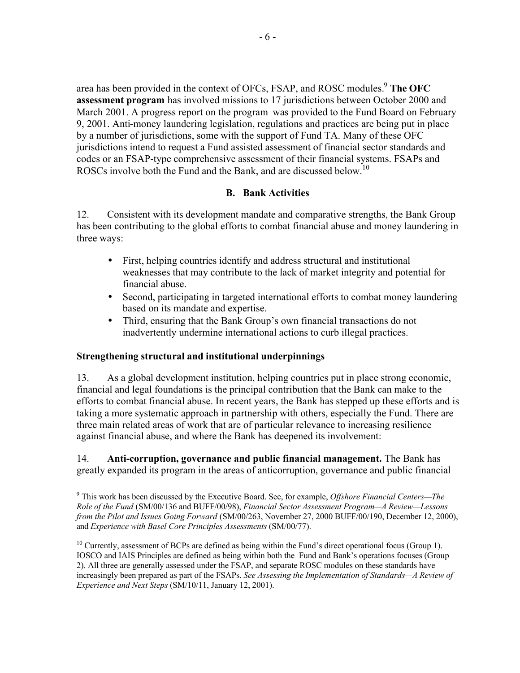area has been provided in the context of OFCs, FSAP, and ROSC modules.<sup>9</sup> The OFC **assessment program** has involved missions to 17 jurisdictions between October 2000 and March 2001. A progress report on the program was provided to the Fund Board on February 9, 2001. Anti-money laundering legislation, regulations and practices are being put in place by a number of jurisdictions, some with the support of Fund TA. Many of these OFC jurisdictions intend to request a Fund assisted assessment of financial sector standards and codes or an FSAP-type comprehensive assessment of their financial systems. FSAPs and ROSCs involve both the Fund and the Bank, and are discussed below.<sup>10</sup>

## **B. Bank Activities**

12. Consistent with its development mandate and comparative strengths, the Bank Group has been contributing to the global efforts to combat financial abuse and money laundering in three ways:

- First, helping countries identify and address structural and institutional weaknesses that may contribute to the lack of market integrity and potential for financial abuse.
- Second, participating in targeted international efforts to combat money laundering based on its mandate and expertise.
- Third, ensuring that the Bank Group's own financial transactions do not inadvertently undermine international actions to curb illegal practices.

# **Strengthening structural and institutional underpinnings**

13. As a global development institution, helping countries put in place strong economic, financial and legal foundations is the principal contribution that the Bank can make to the efforts to combat financial abuse. In recent years, the Bank has stepped up these efforts and is taking a more systematic approach in partnership with others, especially the Fund. There are three main related areas of work that are of particular relevance to increasing resilience against financial abuse, and where the Bank has deepened its involvement:

14. **Anti-corruption, governance and public financial management.** The Bank has greatly expanded its program in the areas of anticorruption, governance and public financial

 9 This work has been discussed by the Executive Board. See, for example, *Offshore Financial Centers—The Role of the Fund* (SM/00/136 and BUFF/00/98), *Financial Sector Assessment Program—A Review—Lessons from the Pilot and Issues Going Forward* (SM/00/263, November 27, 2000 BUFF/00/190, December 12, 2000), and *Experience with Basel Core Principles Assessments* (SM/00/77).

<sup>&</sup>lt;sup>10</sup> Currently, assessment of BCPs are defined as being within the Fund's direct operational focus (Group 1). IOSCO and IAIS Principles are defined as being within both the Fund and Bank's operations focuses (Group 2). All three are generally assessed under the FSAP, and separate ROSC modules on these standards have increasingly been prepared as part of the FSAPs. *See Assessing the Implementation of Standards—A Review of Experience and Next Steps* (SM/10/11, January 12, 2001).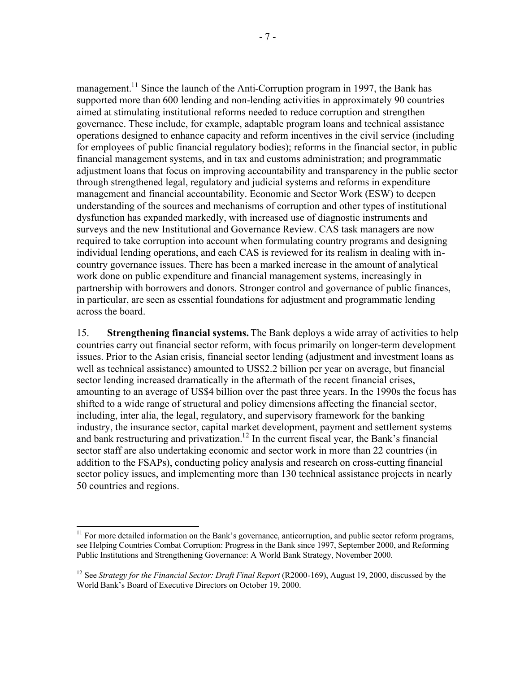management.<sup>11</sup> Since the launch of the Anti-Corruption program in 1997, the Bank has supported more than 600 lending and non-lending activities in approximately 90 countries aimed at stimulating institutional reforms needed to reduce corruption and strengthen governance. These include, for example, adaptable program loans and technical assistance operations designed to enhance capacity and reform incentives in the civil service (including for employees of public financial regulatory bodies); reforms in the financial sector, in public financial management systems, and in tax and customs administration; and programmatic adjustment loans that focus on improving accountability and transparency in the public sector through strengthened legal, regulatory and judicial systems and reforms in expenditure management and financial accountability. Economic and Sector Work (ESW) to deepen understanding of the sources and mechanisms of corruption and other types of institutional dysfunction has expanded markedly, with increased use of diagnostic instruments and surveys and the new Institutional and Governance Review. CAS task managers are now required to take corruption into account when formulating country programs and designing individual lending operations, and each CAS is reviewed for its realism in dealing with incountry governance issues. There has been a marked increase in the amount of analytical work done on public expenditure and financial management systems, increasingly in partnership with borrowers and donors. Stronger control and governance of public finances, in particular, are seen as essential foundations for adjustment and programmatic lending across the board.

15. **Strengthening financial systems.** The Bank deploys a wide array of activities to help countries carry out financial sector reform, with focus primarily on longer-term development issues. Prior to the Asian crisis, financial sector lending (adjustment and investment loans as well as technical assistance) amounted to US\$2.2 billion per year on average, but financial sector lending increased dramatically in the aftermath of the recent financial crises, amounting to an average of US\$4 billion over the past three years. In the 1990s the focus has shifted to a wide range of structural and policy dimensions affecting the financial sector, including, inter alia, the legal, regulatory, and supervisory framework for the banking industry, the insurance sector, capital market development, payment and settlement systems and bank restructuring and privatization.<sup>12</sup> In the current fiscal year, the Bank's financial sector staff are also undertaking economic and sector work in more than 22 countries (in addition to the FSAPs), conducting policy analysis and research on cross-cutting financial sector policy issues, and implementing more than 130 technical assistance projects in nearly 50 countries and regions.

1

 $11$  For more detailed information on the Bank's governance, anticorruption, and public sector reform programs, see Helping Countries Combat Corruption: Progress in the Bank since 1997, September 2000, and Reforming Public Institutions and Strengthening Governance: A World Bank Strategy, November 2000.

<sup>&</sup>lt;sup>12</sup> See *Strategy for the Financial Sector: Draft Final Report* (R2000-169), August 19, 2000, discussed by the World Bank's Board of Executive Directors on October 19, 2000.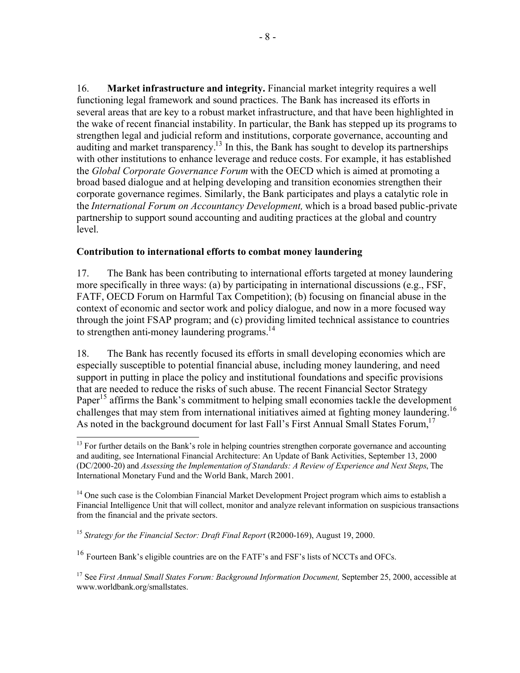16. **Market infrastructure and integrity.** Financial market integrity requires a well functioning legal framework and sound practices. The Bank has increased its efforts in several areas that are key to a robust market infrastructure, and that have been highlighted in the wake of recent financial instability. In particular, the Bank has stepped up its programs to strengthen legal and judicial reform and institutions, corporate governance, accounting and auditing and market transparency.<sup>13</sup> In this, the Bank has sought to develop its partnerships with other institutions to enhance leverage and reduce costs. For example, it has established the *Global Corporate Governance Forum* with the OECD which is aimed at promoting a broad based dialogue and at helping developing and transition economies strengthen their corporate governance regimes. Similarly, the Bank participates and plays a catalytic role in the *International Forum on Accountancy Development,* which is a broad based public-private partnership to support sound accounting and auditing practices at the global and country level.

## **Contribution to international efforts to combat money laundering**

17. The Bank has been contributing to international efforts targeted at money laundering more specifically in three ways: (a) by participating in international discussions (e.g., FSF, FATF, OECD Forum on Harmful Tax Competition); (b) focusing on financial abuse in the context of economic and sector work and policy dialogue, and now in a more focused way through the joint FSAP program; and (c) providing limited technical assistance to countries to strengthen anti-money laundering programs. $^{14}$ 

18. The Bank has recently focused its efforts in small developing economies which are especially susceptible to potential financial abuse, including money laundering, and need support in putting in place the policy and institutional foundations and specific provisions that are needed to reduce the risks of such abuse. The recent Financial Sector Strategy Paper<sup>15</sup> affirms the Bank's commitment to helping small economies tackle the development challenges that may stem from international initiatives aimed at fighting money laundering.<sup>16</sup> As noted in the background document for last Fall's First Annual Small States Forum,<sup>17</sup>

<sup>1</sup> <sup>13</sup> For further details on the Bank's role in helping countries strengthen corporate governance and accounting and auditing, see International Financial Architecture: An Update of Bank Activities, September 13, 2000 (DC/2000-20) and *Assessing the Implementation of Standards: A Review of Experience and Next Steps*, The International Monetary Fund and the World Bank, March 2001.

<sup>&</sup>lt;sup>14</sup> One such case is the Colombian Financial Market Development Project program which aims to establish a Financial Intelligence Unit that will collect, monitor and analyze relevant information on suspicious transactions from the financial and the private sectors.

<sup>&</sup>lt;sup>15</sup> *Strategy for the Financial Sector: Draft Final Report* (R2000-169), August 19, 2000.

<sup>&</sup>lt;sup>16</sup> Fourteen Bank's eligible countries are on the FATF's and FSF's lists of NCCTs and OFCs.

<sup>&</sup>lt;sup>17</sup> See *First Annual Small States Forum: Background Information Document*, September 25, 2000, accessible at www.worldbank.org/smallstates.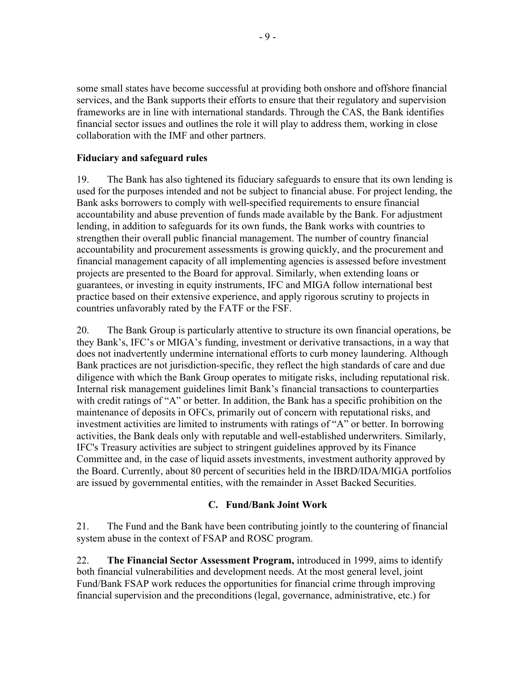some small states have become successful at providing both onshore and offshore financial services, and the Bank supports their efforts to ensure that their regulatory and supervision frameworks are in line with international standards. Through the CAS, the Bank identifies financial sector issues and outlines the role it will play to address them, working in close collaboration with the IMF and other partners.

## **Fiduciary and safeguard rules**

19. The Bank has also tightened its fiduciary safeguards to ensure that its own lending is used for the purposes intended and not be subject to financial abuse. For project lending, the Bank asks borrowers to comply with well-specified requirements to ensure financial accountability and abuse prevention of funds made available by the Bank. For adjustment lending, in addition to safeguards for its own funds, the Bank works with countries to strengthen their overall public financial management. The number of country financial accountability and procurement assessments is growing quickly, and the procurement and financial management capacity of all implementing agencies is assessed before investment projects are presented to the Board for approval. Similarly, when extending loans or guarantees, or investing in equity instruments, IFC and MIGA follow international best practice based on their extensive experience, and apply rigorous scrutiny to projects in countries unfavorably rated by the FATF or the FSF.

20. The Bank Group is particularly attentive to structure its own financial operations, be they Bank's, IFC's or MIGA's funding, investment or derivative transactions, in a way that does not inadvertently undermine international efforts to curb money laundering. Although Bank practices are not jurisdiction-specific, they reflect the high standards of care and due diligence with which the Bank Group operates to mitigate risks, including reputational risk. Internal risk management guidelines limit Bank's financial transactions to counterparties with credit ratings of "A" or better. In addition, the Bank has a specific prohibition on the maintenance of deposits in OFCs, primarily out of concern with reputational risks, and investment activities are limited to instruments with ratings of "A" or better. In borrowing activities, the Bank deals only with reputable and well-established underwriters. Similarly, IFC's Treasury activities are subject to stringent guidelines approved by its Finance Committee and, in the case of liquid assets investments, investment authority approved by the Board. Currently, about 80 percent of securities held in the IBRD/IDA/MIGA portfolios are issued by governmental entities, with the remainder in Asset Backed Securities.

# **C. Fund/Bank Joint Work**

21. The Fund and the Bank have been contributing jointly to the countering of financial system abuse in the context of FSAP and ROSC program.

22. **The Financial Sector Assessment Program,** introduced in 1999, aims to identify both financial vulnerabilities and development needs. At the most general level, joint Fund/Bank FSAP work reduces the opportunities for financial crime through improving financial supervision and the preconditions (legal, governance, administrative, etc.) for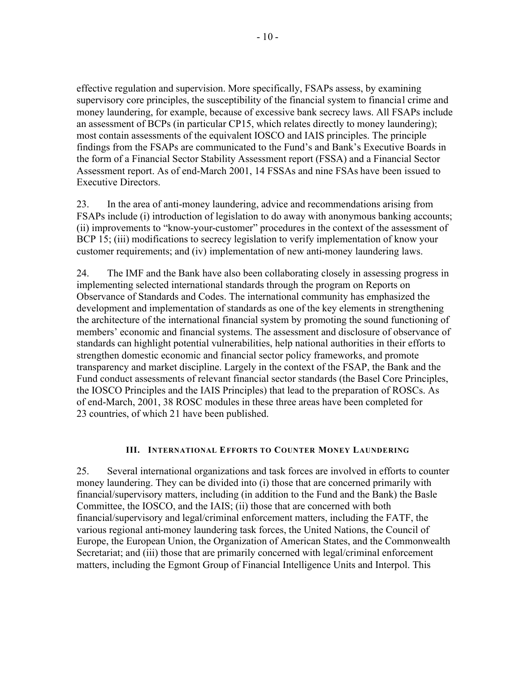effective regulation and supervision. More specifically, FSAPs assess, by examining supervisory core principles, the susceptibility of the financial system to financial crime and money laundering, for example, because of excessive bank secrecy laws. All FSAPs include an assessment of BCPs (in particular CP15, which relates directly to money laundering); most contain assessments of the equivalent IOSCO and IAIS principles. The principle findings from the FSAPs are communicated to the Fund's and Bank's Executive Boards in the form of a Financial Sector Stability Assessment report (FSSA) and a Financial Sector Assessment report. As of end-March 2001, 14 FSSAs and nine FSAs have been issued to Executive Directors.

23. In the area of anti-money laundering, advice and recommendations arising from FSAPs include (i) introduction of legislation to do away with anonymous banking accounts; (ii) improvements to "know-your-customer" procedures in the context of the assessment of BCP 15; (iii) modifications to secrecy legislation to verify implementation of know your customer requirements; and (iv) implementation of new anti-money laundering laws.

24. The IMF and the Bank have also been collaborating closely in assessing progress in implementing selected international standards through the program on Reports on Observance of Standards and Codes. The international community has emphasized the development and implementation of standards as one of the key elements in strengthening the architecture of the international financial system by promoting the sound functioning of members' economic and financial systems. The assessment and disclosure of observance of standards can highlight potential vulnerabilities, help national authorities in their efforts to strengthen domestic economic and financial sector policy frameworks, and promote transparency and market discipline. Largely in the context of the FSAP, the Bank and the Fund conduct assessments of relevant financial sector standards (the Basel Core Principles, the IOSCO Principles and the IAIS Principles) that lead to the preparation of ROSCs. As of end-March, 2001, 38 ROSC modules in these three areas have been completed for 23 countries, of which 21 have been published.

#### **III. INTERNATIONAL EFFORTS TO COUNTER MONEY LAUNDERING**

25. Several international organizations and task forces are involved in efforts to counter money laundering. They can be divided into (i) those that are concerned primarily with financial/supervisory matters, including (in addition to the Fund and the Bank) the Basle Committee, the IOSCO, and the IAIS; (ii) those that are concerned with both financial/supervisory and legal/criminal enforcement matters, including the FATF, the various regional anti-money laundering task forces, the United Nations, the Council of Europe, the European Union, the Organization of American States, and the Commonwealth Secretariat; and (iii) those that are primarily concerned with legal/criminal enforcement matters, including the Egmont Group of Financial Intelligence Units and Interpol. This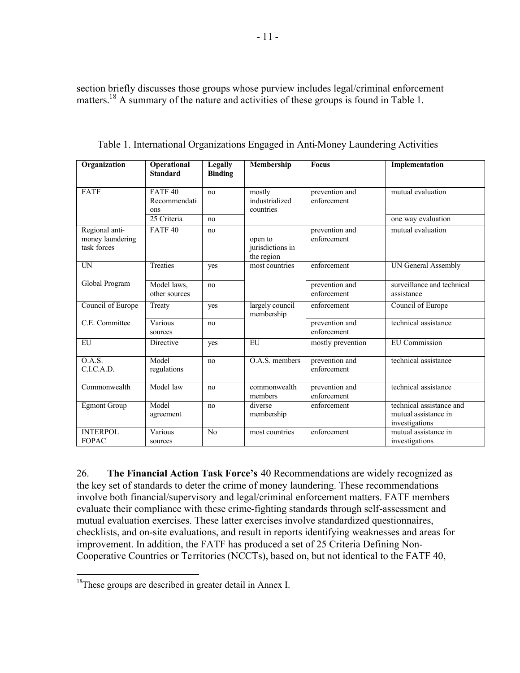section briefly discusses those groups whose purview includes legal/criminal enforcement matters.<sup>18</sup> A summary of the nature and activities of these groups is found in Table 1.

| Organization                                      | Operational<br><b>Standard</b>            | <b>Legally</b><br><b>Binding</b> | Membership                                | <b>Focus</b>                  | Implementation                                                     |
|---------------------------------------------------|-------------------------------------------|----------------------------------|-------------------------------------------|-------------------------------|--------------------------------------------------------------------|
| FATF                                              | FATF <sub>40</sub><br>Recommendati<br>ons | no                               | mostly<br>industrialized<br>countries     | prevention and<br>enforcement | mutual evaluation                                                  |
|                                                   | 25 Criteria                               | no                               |                                           |                               | one way evaluation                                                 |
| Regional anti-<br>money laundering<br>task forces | FATF <sub>40</sub>                        | no                               | open to<br>jurisdictions in<br>the region | prevention and<br>enforcement | mutual evaluation                                                  |
| <b>UN</b>                                         | <b>Treaties</b>                           | yes                              | most countries                            | enforcement                   | <b>UN General Assembly</b>                                         |
| Global Program                                    | Model laws,<br>other sources              | no                               |                                           | prevention and<br>enforcement | surveillance and technical<br>assistance                           |
| Council of Europe                                 | Treaty                                    | yes                              | largely council<br>membership             | enforcement                   | Council of Europe                                                  |
| C.E. Committee                                    | Various<br>sources                        | no                               |                                           | prevention and<br>enforcement | technical assistance                                               |
| EU                                                | Directive                                 | yes                              | $\overline{H}$                            | mostly prevention             | <b>EU</b> Commission                                               |
| 0.A.S.<br>C.I.C.A.D.                              | Model<br>regulations                      | no                               | O.A.S. members                            | prevention and<br>enforcement | technical assistance                                               |
| Commonwealth                                      | Model law                                 | no                               | commonwealth<br>members                   | prevention and<br>enforcement | technical assistance                                               |
| <b>Egmont Group</b>                               | Model<br>agreement                        | no                               | diverse<br>membership                     | enforcement                   | technical assistance and<br>mutual assistance in<br>investigations |
| <b>INTERPOL</b><br><b>FOPAC</b>                   | Various<br>sources                        | N <sub>0</sub>                   | most countries                            | enforcement                   | mutual assistance in<br>investigations                             |

Table 1. International Organizations Engaged in Anti-Money Laundering Activities

26. **The Financial Action Task Force's** 40 Recommendations are widely recognized as the key set of standards to deter the crime of money laundering. These recommendations involve both financial/supervisory and legal/criminal enforcement matters. FATF members evaluate their compliance with these crime-fighting standards through self-assessment and mutual evaluation exercises. These latter exercises involve standardized questionnaires, checklists, and on-site evaluations, and result in reports identifying weaknesses and areas for improvement. In addition, the FATF has produced a set of 25 Criteria Defining Non-Cooperative Countries or Territories (NCCTs), based on, but not identical to the FATF 40,

1

<sup>&</sup>lt;sup>18</sup>These groups are described in greater detail in Annex I.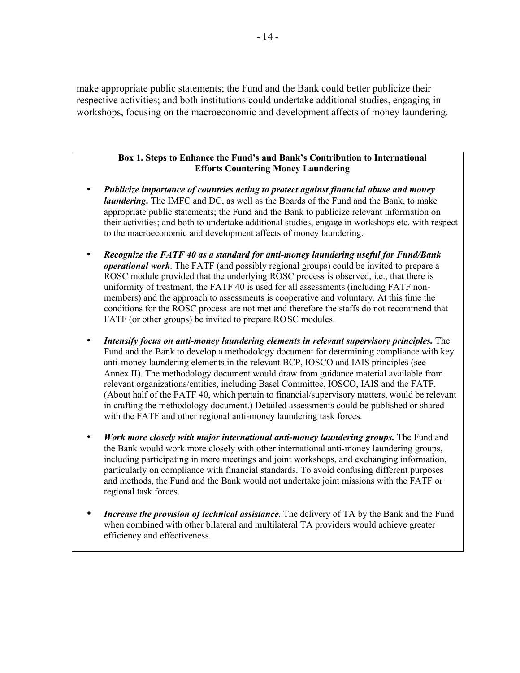make appropriate public statements; the Fund and the Bank could better publicize their respective activities; and both institutions could undertake additional studies, engaging in workshops, focusing on the macroeconomic and development affects of money laundering.

#### **Box 1. Steps to Enhance the Fund's and Bank's Contribution to International Efforts Countering Money Laundering**

- *Publicize importance of countries acting to protect against financial abuse and money laundering***.** The IMFC and DC, as well as the Boards of the Fund and the Bank, to make appropriate public statements; the Fund and the Bank to publicize relevant information on their activities; and both to undertake additional studies, engage in workshops etc. with respect to the macroeconomic and development affects of money laundering.
- *Recognize the FATF 40 as a standard for anti-money laundering useful for Fund/Bank operational work*. The FATF (and possibly regional groups) could be invited to prepare a ROSC module provided that the underlying ROSC process is observed, i.e., that there is uniformity of treatment, the FATF 40 is used for all assessments (including FATF nonmembers) and the approach to assessments is cooperative and voluntary. At this time the conditions for the ROSC process are not met and therefore the staffs do not recommend that FATF (or other groups) be invited to prepare ROSC modules.
- *Intensify focus on anti-money laundering elements in relevant supervisory principles.* The Fund and the Bank to develop a methodology document for determining compliance with key anti-money laundering elements in the relevant BCP, IOSCO and IAIS principles (see Annex II). The methodology document would draw from guidance material available from relevant organizations/entities, including Basel Committee, IOSCO, IAIS and the FATF. (About half of the FATF 40, which pertain to financial/supervisory matters, would be relevant in crafting the methodology document.) Detailed assessments could be published or shared with the FATF and other regional anti-money laundering task forces.
- *Work more closely with major international anti-money laundering groups.* The Fund and the Bank would work more closely with other international anti-money laundering groups, including participating in more meetings and joint workshops, and exchanging information, particularly on compliance with financial standards. To avoid confusing different purposes and methods, the Fund and the Bank would not undertake joint missions with the FATF or regional task forces.
- *Increase the provision of technical assistance***.** The delivery of TA by the Bank and the Fund when combined with other bilateral and multilateral TA providers would achieve greater efficiency and effectiveness.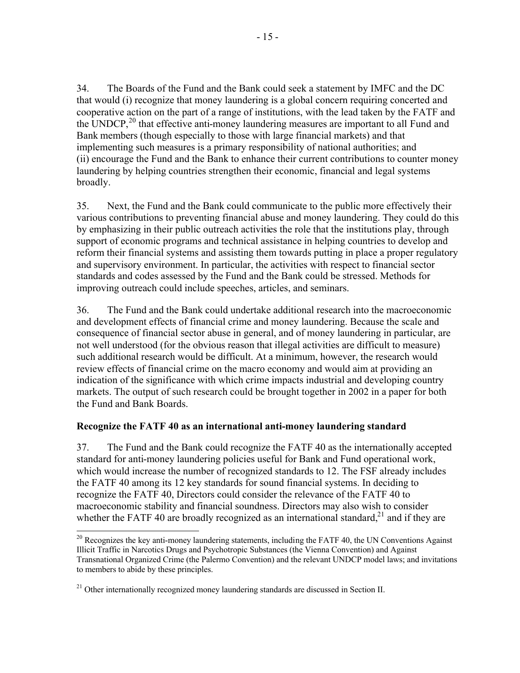34. The Boards of the Fund and the Bank could seek a statement by IMFC and the DC that would (i) recognize that money laundering is a global concern requiring concerted and cooperative action on the part of a range of institutions, with the lead taken by the FATF and the UNDCP,<sup>20</sup> that effective anti-money laundering measures are important to all Fund and Bank members (though especially to those with large financial markets) and that implementing such measures is a primary responsibility of national authorities; and (ii) encourage the Fund and the Bank to enhance their current contributions to counter money laundering by helping countries strengthen their economic, financial and legal systems broadly.

35. Next, the Fund and the Bank could communicate to the public more effectively their various contributions to preventing financial abuse and money laundering. They could do this by emphasizing in their public outreach activities the role that the institutions play, through support of economic programs and technical assistance in helping countries to develop and reform their financial systems and assisting them towards putting in place a proper regulatory and supervisory environment. In particular, the activities with respect to financial sector standards and codes assessed by the Fund and the Bank could be stressed. Methods for improving outreach could include speeches, articles, and seminars.

36. The Fund and the Bank could undertake additional research into the macroeconomic and development effects of financial crime and money laundering. Because the scale and consequence of financial sector abuse in general, and of money laundering in particular, are not well understood (for the obvious reason that illegal activities are difficult to measure) such additional research would be difficult. At a minimum, however, the research would review effects of financial crime on the macro economy and would aim at providing an indication of the significance with which crime impacts industrial and developing country markets. The output of such research could be brought together in 2002 in a paper for both the Fund and Bank Boards.

## **Recognize the FATF 40 as an international anti-money laundering standard**

37. The Fund and the Bank could recognize the FATF 40 as the internationally accepted standard for anti-money laundering policies useful for Bank and Fund operational work, which would increase the number of recognized standards to 12. The FSF already includes the FATF 40 among its 12 key standards for sound financial systems. In deciding to recognize the FATF 40, Directors could consider the relevance of the FATF 40 to macroeconomic stability and financial soundness. Directors may also wish to consider whether the FATF 40 are broadly recognized as an international standard, $2<sup>1</sup>$  and if they are

<sup>1</sup>  $20$  Recognizes the key anti-money laundering statements, including the FATF 40, the UN Conventions Against Illicit Traffic in Narcotics Drugs and Psychotropic Substances (the Vienna Convention) and Against Transnational Organized Crime (the Palermo Convention) and the relevant UNDCP model laws; and invitations to members to abide by these principles.

<sup>&</sup>lt;sup>21</sup> Other internationally recognized money laundering standards are discussed in Section II.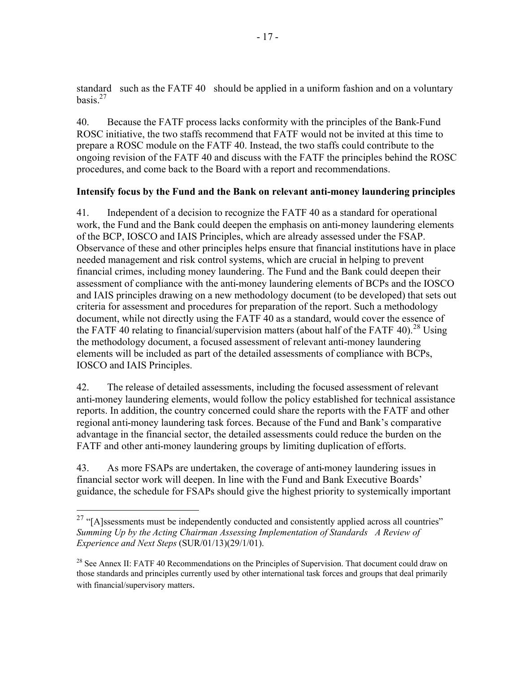standard such as the FATF 40 should be applied in a uniform fashion and on a voluntary basis. $27$ 

40. Because the FATF process lacks conformity with the principles of the Bank-Fund ROSC initiative, the two staffs recommend that FATF would not be invited at this time to prepare a ROSC module on the FATF 40. Instead, the two staffs could contribute to the ongoing revision of the FATF 40 and discuss with the FATF the principles behind the ROSC procedures, and come back to the Board with a report and recommendations.

## **Intensify focus by the Fund and the Bank on relevant anti-money laundering principles**

41. Independent of a decision to recognize the FATF 40 as a standard for operational work, the Fund and the Bank could deepen the emphasis on anti-money laundering elements of the BCP, IOSCO and IAIS Principles, which are already assessed under the FSAP. Observance of these and other principles helps ensure that financial institutions have in place needed management and risk control systems, which are crucial in helping to prevent financial crimes, including money laundering. The Fund and the Bank could deepen their assessment of compliance with the anti-money laundering elements of BCPs and the IOSCO and IAIS principles drawing on a new methodology document (to be developed) that sets out criteria for assessment and procedures for preparation of the report. Such a methodology document, while not directly using the FATF 40 as a standard, would cover the essence of the FATF 40 relating to financial/supervision matters (about half of the FATF 40).<sup>28</sup> Using the methodology document, a focused assessment of relevant anti-money laundering elements will be included as part of the detailed assessments of compliance with BCPs, IOSCO and IAIS Principles.

42. The release of detailed assessments, including the focused assessment of relevant anti-money laundering elements, would follow the policy established for technical assistance reports. In addition, the country concerned could share the reports with the FATF and other regional anti-money laundering task forces. Because of the Fund and Bank's comparative advantage in the financial sector, the detailed assessments could reduce the burden on the FATF and other anti-money laundering groups by limiting duplication of efforts.

43. As more FSAPs are undertaken, the coverage of anti-money laundering issues in financial sector work will deepen. In line with the Fund and Bank Executive Boards' guidance, the schedule for FSAPs should give the highest priority to systemically important

1

 $27$  "[A]ssessments must be independently conducted and consistently applied across all countries" *Summing Up by the Acting Chairman Assessing Implementation of Standards A Review of Experience and Next Steps* (SUR/01/13)(29/1/01).

<sup>&</sup>lt;sup>28</sup> See Annex II: FATF 40 Recommendations on the Principles of Supervision. That document could draw on those standards and principles currently used by other international task forces and groups that deal primarily with financial/supervisory matters.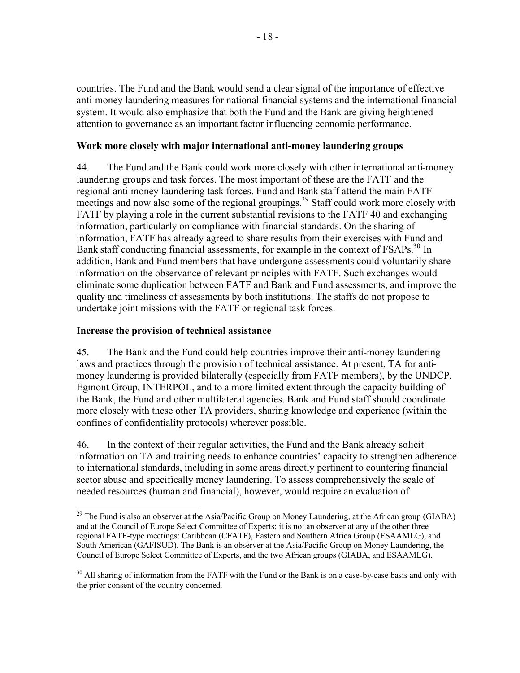countries. The Fund and the Bank would send a clear signal of the importance of effective anti-money laundering measures for national financial systems and the international financial system. It would also emphasize that both the Fund and the Bank are giving heightened attention to governance as an important factor influencing economic performance.

### **Work more closely with major international anti-money laundering groups**

44. The Fund and the Bank could work more closely with other international anti-money laundering groups and task forces. The most important of these are the FATF and the regional anti-money laundering task forces. Fund and Bank staff attend the main FATF meetings and now also some of the regional groupings.<sup>29</sup> Staff could work more closely with FATF by playing a role in the current substantial revisions to the FATF 40 and exchanging information, particularly on compliance with financial standards. On the sharing of information, FATF has already agreed to share results from their exercises with Fund and Bank staff conducting financial assessments, for example in the context of FSAPs.<sup>30</sup> In addition, Bank and Fund members that have undergone assessments could voluntarily share information on the observance of relevant principles with FATF. Such exchanges would eliminate some duplication between FATF and Bank and Fund assessments, and improve the quality and timeliness of assessments by both institutions. The staffs do not propose to undertake joint missions with the FATF or regional task forces.

### **Increase the provision of technical assistance**

<u>.</u>

45. The Bank and the Fund could help countries improve their anti-money laundering laws and practices through the provision of technical assistance. At present, TA for antimoney laundering is provided bilaterally (especially from FATF members), by the UNDCP, Egmont Group, INTERPOL, and to a more limited extent through the capacity building of the Bank, the Fund and other multilateral agencies. Bank and Fund staff should coordinate more closely with these other TA providers, sharing knowledge and experience (within the confines of confidentiality protocols) wherever possible.

46. In the context of their regular activities, the Fund and the Bank already solicit information on TA and training needs to enhance countries' capacity to strengthen adherence to international standards, including in some areas directly pertinent to countering financial sector abuse and specifically money laundering. To assess comprehensively the scale of needed resources (human and financial), however, would require an evaluation of

 $^{29}$  The Fund is also an observer at the Asia/Pacific Group on Money Laundering, at the African group (GIABA) and at the Council of Europe Select Committee of Experts; it is not an observer at any of the other three regional FATF-type meetings: Caribbean (CFATF), Eastern and Southern Africa Group (ESAAMLG), and South American (GAFISUD). The Bank is an observer at the Asia/Pacific Group on Money Laundering, the Council of Europe Select Committee of Experts, and the two African groups (GIABA, and ESAAMLG).

<sup>&</sup>lt;sup>30</sup> All sharing of information from the FATF with the Fund or the Bank is on a case-by-case basis and only with the prior consent of the country concerned.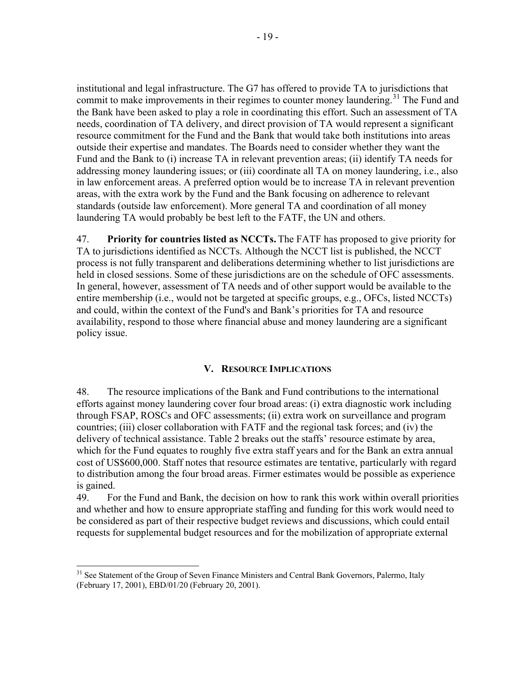institutional and legal infrastructure. The G7 has offered to provide TA to jurisdictions that commit to make improvements in their regimes to counter money laundering.<sup>31</sup> The Fund and the Bank have been asked to play a role in coordinating this effort. Such an assessment of TA needs, coordination of TA delivery, and direct provision of TA would represent a significant resource commitment for the Fund and the Bank that would take both institutions into areas outside their expertise and mandates. The Boards need to consider whether they want the Fund and the Bank to (i) increase TA in relevant prevention areas; (ii) identify TA needs for addressing money laundering issues; or (iii) coordinate all TA on money laundering, i.e., also in law enforcement areas. A preferred option would be to increase TA in relevant prevention areas, with the extra work by the Fund and the Bank focusing on adherence to relevant standards (outside law enforcement). More general TA and coordination of all money laundering TA would probably be best left to the FATF, the UN and others.

47. **Priority for countries listed as NCCTs.** The FATF has proposed to give priority for TA to jurisdictions identified as NCCTs. Although the NCCT list is published, the NCCT process is not fully transparent and deliberations determining whether to list jurisdictions are held in closed sessions. Some of these jurisdictions are on the schedule of OFC assessments. In general, however, assessment of TA needs and of other support would be available to the entire membership (i.e., would not be targeted at specific groups, e.g., OFCs, listed NCCTs) and could, within the context of the Fund's and Bank's priorities for TA and resource availability, respond to those where financial abuse and money laundering are a significant policy issue.

## **V. RESOURCE IMPLICATIONS**

48. The resource implications of the Bank and Fund contributions to the international efforts against money laundering cover four broad areas: (i) extra diagnostic work including through FSAP, ROSCs and OFC assessments; (ii) extra work on surveillance and program countries; (iii) closer collaboration with FATF and the regional task forces; and (iv) the delivery of technical assistance. Table 2 breaks out the staffs' resource estimate by area, which for the Fund equates to roughly five extra staff years and for the Bank an extra annual cost of US\$600,000. Staff notes that resource estimates are tentative, particularly with regard to distribution among the four broad areas. Firmer estimates would be possible as experience is gained.

49. For the Fund and Bank, the decision on how to rank this work within overall priorities and whether and how to ensure appropriate staffing and funding for this work would need to be considered as part of their respective budget reviews and discussions, which could entail requests for supplemental budget resources and for the mobilization of appropriate external

<sup>1</sup> <sup>31</sup> See Statement of the Group of Seven Finance Ministers and Central Bank Governors, Palermo, Italy (February 17, 2001), EBD/01/20 (February 20, 2001).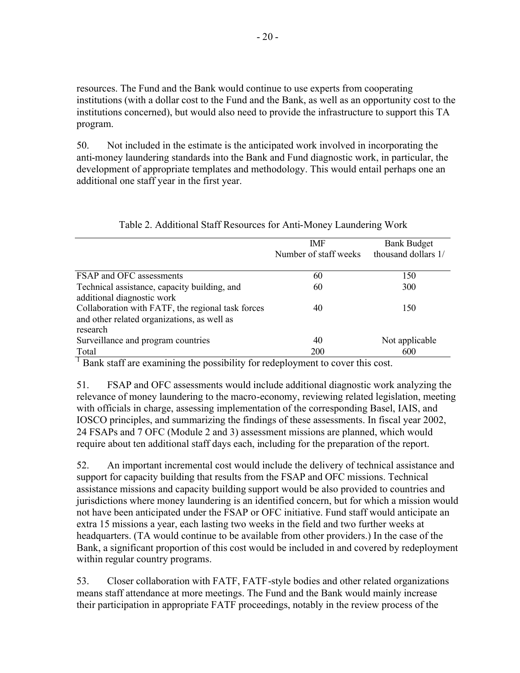resources. The Fund and the Bank would continue to use experts from cooperating institutions (with a dollar cost to the Fund and the Bank, as well as an opportunity cost to the institutions concerned), but would also need to provide the infrastructure to support this TA program.

50. Not included in the estimate is the anticipated work involved in incorporating the anti-money laundering standards into the Bank and Fund diagnostic work, in particular, the development of appropriate templates and methodology. This would entail perhaps one an additional one staff year in the first year.

|                                                   | <b>IMF</b>            | <b>Bank Budget</b>  |
|---------------------------------------------------|-----------------------|---------------------|
|                                                   | Number of staff weeks | thousand dollars 1/ |
|                                                   |                       |                     |
| FSAP and OFC assessments                          | 60                    | 150                 |
| Technical assistance, capacity building, and      | 60                    | 300                 |
| additional diagnostic work                        |                       |                     |
| Collaboration with FATF, the regional task forces | 40                    | 150                 |
| and other related organizations, as well as       |                       |                     |
| research                                          |                       |                     |
| Surveillance and program countries                | 40                    | Not applicable      |
| Total                                             | 200                   | 600                 |

Table 2. Additional Staff Resources for Anti-Money Laundering Work

<sup>1</sup> Bank staff are examining the possibility for redeployment to cover this cost.

51. FSAP and OFC assessments would include additional diagnostic work analyzing the relevance of money laundering to the macro-economy, reviewing related legislation, meeting with officials in charge, assessing implementation of the corresponding Basel, IAIS, and IOSCO principles, and summarizing the findings of these assessments. In fiscal year 2002, 24 FSAPs and 7 OFC (Module 2 and 3) assessment missions are planned, which would require about ten additional staff days each, including for the preparation of the report.

52. An important incremental cost would include the delivery of technical assistance and support for capacity building that results from the FSAP and OFC missions. Technical assistance missions and capacity building support would be also provided to countries and jurisdictions where money laundering is an identified concern, but for which a mission would not have been anticipated under the FSAP or OFC initiative. Fund staff would anticipate an extra 15 missions a year, each lasting two weeks in the field and two further weeks at headquarters. (TA would continue to be available from other providers.) In the case of the Bank, a significant proportion of this cost would be included in and covered by redeployment within regular country programs.

53. Closer collaboration with FATF, FATF-style bodies and other related organizations means staff attendance at more meetings. The Fund and the Bank would mainly increase their participation in appropriate FATF proceedings, notably in the review process of the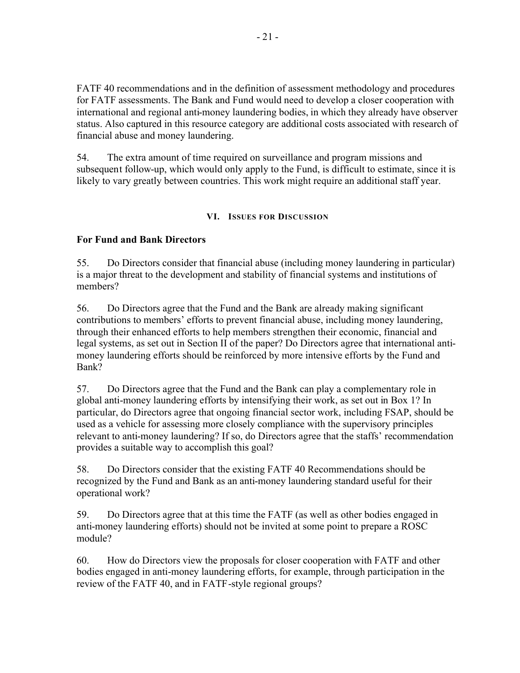FATF 40 recommendations and in the definition of assessment methodology and procedures for FATF assessments. The Bank and Fund would need to develop a closer cooperation with international and regional anti-money laundering bodies, in which they already have observer status. Also captured in this resource category are additional costs associated with research of financial abuse and money laundering.

54. The extra amount of time required on surveillance and program missions and subsequent follow-up, which would only apply to the Fund, is difficult to estimate, since it is likely to vary greatly between countries. This work might require an additional staff year.

#### **VI. ISSUES FOR DISCUSSION**

## **For Fund and Bank Directors**

55. Do Directors consider that financial abuse (including money laundering in particular) is a major threat to the development and stability of financial systems and institutions of members?

56. Do Directors agree that the Fund and the Bank are already making significant contributions to members' efforts to prevent financial abuse, including money laundering, through their enhanced efforts to help members strengthen their economic, financial and legal systems, as set out in Section II of the paper? Do Directors agree that international antimoney laundering efforts should be reinforced by more intensive efforts by the Fund and Bank?

57. Do Directors agree that the Fund and the Bank can play a complementary role in global anti-money laundering efforts by intensifying their work, as set out in Box 1? In particular, do Directors agree that ongoing financial sector work, including FSAP, should be used as a vehicle for assessing more closely compliance with the supervisory principles relevant to anti-money laundering? If so, do Directors agree that the staffs' recommendation provides a suitable way to accomplish this goal?

58. Do Directors consider that the existing FATF 40 Recommendations should be recognized by the Fund and Bank as an anti-money laundering standard useful for their operational work?

59. Do Directors agree that at this time the FATF (as well as other bodies engaged in anti-money laundering efforts) should not be invited at some point to prepare a ROSC module?

60. How do Directors view the proposals for closer cooperation with FATF and other bodies engaged in anti-money laundering efforts, for example, through participation in the review of the FATF 40, and in FATF-style regional groups?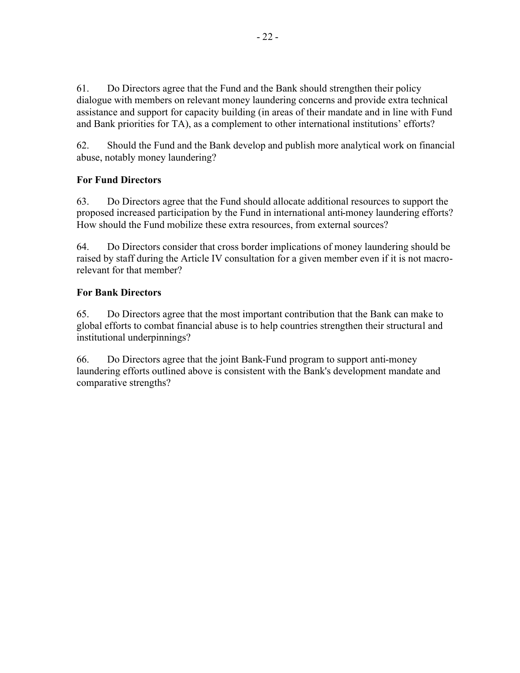61. Do Directors agree that the Fund and the Bank should strengthen their policy dialogue with members on relevant money laundering concerns and provide extra technical assistance and support for capacity building (in areas of their mandate and in line with Fund and Bank priorities for TA), as a complement to other international institutions' efforts?

62. Should the Fund and the Bank develop and publish more analytical work on financial abuse, notably money laundering?

# **For Fund Directors**

63. Do Directors agree that the Fund should allocate additional resources to support the proposed increased participation by the Fund in international anti-money laundering efforts? How should the Fund mobilize these extra resources, from external sources?

64. Do Directors consider that cross border implications of money laundering should be raised by staff during the Article IV consultation for a given member even if it is not macrorelevant for that member?

# **For Bank Directors**

65. Do Directors agree that the most important contribution that the Bank can make to global efforts to combat financial abuse is to help countries strengthen their structural and institutional underpinnings?

66. Do Directors agree that the joint Bank-Fund program to support anti-money laundering efforts outlined above is consistent with the Bank's development mandate and comparative strengths?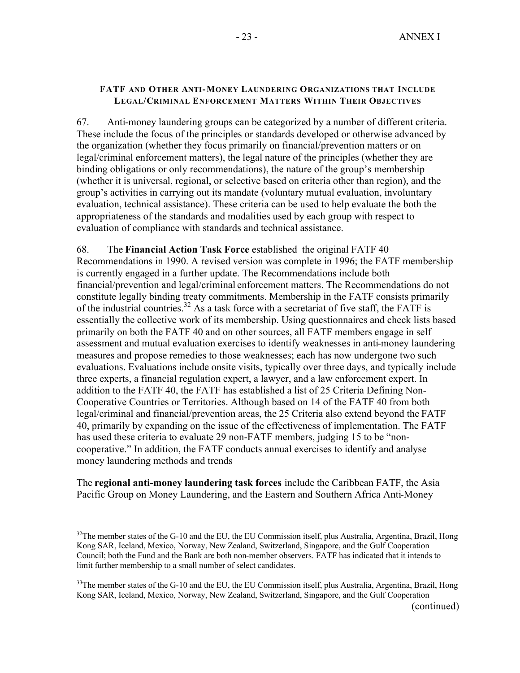#### **FATF AND OTHER ANTI-MONEY LAUNDERING ORGANIZATIONS THAT INCLUDE LEGAL/CRIMINAL ENFORCEMENT MATTERS WITHIN THEIR OBJECTIVES**

67. Anti-money laundering groups can be categorized by a number of different criteria. These include the focus of the principles or standards developed or otherwise advanced by the organization (whether they focus primarily on financial/prevention matters or on legal/criminal enforcement matters), the legal nature of the principles (whether they are binding obligations or only recommendations), the nature of the group's membership (whether it is universal, regional, or selective based on criteria other than region), and the group's activities in carrying out its mandate (voluntary mutual evaluation, involuntary evaluation, technical assistance). These criteria can be used to help evaluate the both the appropriateness of the standards and modalities used by each group with respect to evaluation of compliance with standards and technical assistance.

68. The **Financial Action Task Force** established the original FATF 40 Recommendations in 1990. A revised version was complete in 1996; the FATF membership is currently engaged in a further update. The Recommendations include both financial/prevention and legal/criminal enforcement matters. The Recommendations do not constitute legally binding treaty commitments. Membership in the FATF consists primarily of the industrial countries.<sup>32</sup> As a task force with a secretariat of five staff, the FATF is essentially the collective work of its membership. Using questionnaires and check lists based primarily on both the FATF 40 and on other sources, all FATF members engage in self assessment and mutual evaluation exercises to identify weaknesses in anti-money laundering measures and propose remedies to those weaknesses; each has now undergone two such evaluations. Evaluations include onsite visits, typically over three days, and typically include three experts, a financial regulation expert, a lawyer, and a law enforcement expert. In addition to the FATF 40, the FATF has established a list of 25 Criteria Defining Non-Cooperative Countries or Territories. Although based on 14 of the FATF 40 from both legal/criminal and financial/prevention areas, the 25 Criteria also extend beyond the FATF 40, primarily by expanding on the issue of the effectiveness of implementation. The FATF has used these criteria to evaluate 29 non-FATF members, judging 15 to be "noncooperative." In addition, the FATF conducts annual exercises to identify and analyse money laundering methods and trends

The **regional anti-money laundering task forces** include the Caribbean FATF, the Asia Pacific Group on Money Laundering, and the Eastern and Southern Africa Anti-Money

1

<sup>&</sup>lt;sup>32</sup>The member states of the G-10 and the EU, the EU Commission itself, plus Australia, Argentina, Brazil, Hong Kong SAR, Iceland, Mexico, Norway, New Zealand, Switzerland, Singapore, and the Gulf Cooperation Council; both the Fund and the Bank are both non-member observers. FATF has indicated that it intends to limit further membership to a small number of select candidates.

<sup>&</sup>lt;sup>33</sup>The member states of the G-10 and the EU, the EU Commission itself, plus Australia, Argentina, Brazil, Hong Kong SAR, Iceland, Mexico, Norway, New Zealand, Switzerland, Singapore, and the Gulf Cooperation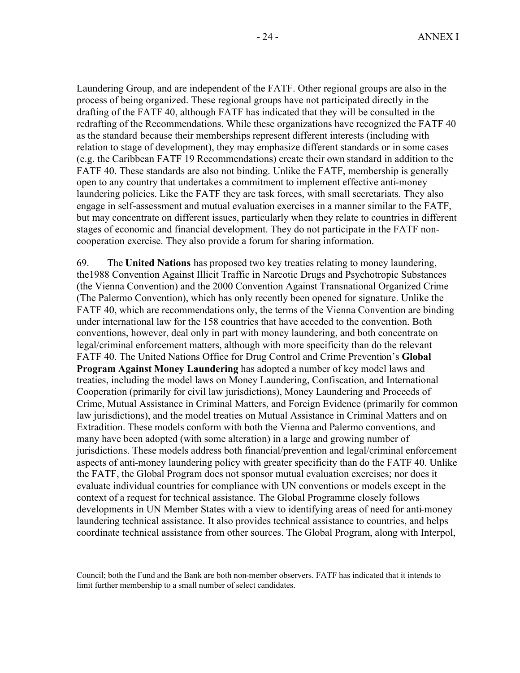Laundering Group, and are independent of the FATF. Other regional groups are also in the process of being organized. These regional groups have not participated directly in the drafting of the FATF 40, although FATF has indicated that they will be consulted in the redrafting of the Recommendations. While these organizations have recognized the FATF 40 as the standard because their memberships represent different interests (including with relation to stage of development), they may emphasize different standards or in some cases (e.g. the Caribbean FATF 19 Recommendations) create their own standard in addition to the FATF 40. These standards are also not binding. Unlike the FATF, membership is generally open to any country that undertakes a commitment to implement effective anti-money laundering policies. Like the FATF they are task forces, with small secretariats. They also engage in self-assessment and mutual evaluation exercises in a manner similar to the FATF, but may concentrate on different issues, particularly when they relate to countries in different stages of economic and financial development. They do not participate in the FATF noncooperation exercise. They also provide a forum for sharing information.

69. The **United Nations** has proposed two key treaties relating to money laundering, the1988 Convention Against Illicit Traffic in Narcotic Drugs and Psychotropic Substances (the Vienna Convention) and the 2000 Convention Against Transnational Organized Crime (The Palermo Convention), which has only recently been opened for signature. Unlike the FATF 40, which are recommendations only, the terms of the Vienna Convention are binding under international law for the 158 countries that have acceded to the convention. Both conventions, however, deal only in part with money laundering, and both concentrate on legal/criminal enforcement matters, although with more specificity than do the relevant FATF 40. The United Nations Office for Drug Control and Crime Prevention's **Global Program Against Money Laundering** has adopted a number of key model laws and treaties, including the model laws on Money Laundering, Confiscation, and International Cooperation (primarily for civil law jurisdictions), Money Laundering and Proceeds of Crime, Mutual Assistance in Criminal Matters, and Foreign Evidence (primarily for common law jurisdictions), and the model treaties on Mutual Assistance in Criminal Matters and on Extradition. These models conform with both the Vienna and Palermo conventions, and many have been adopted (with some alteration) in a large and growing number of jurisdictions. These models address both financial/prevention and legal/criminal enforcement aspects of anti-money laundering policy with greater specificity than do the FATF 40. Unlike the FATF, the Global Program does not sponsor mutual evaluation exercises; nor does it evaluate individual countries for compliance with UN conventions or models except in the context of a request for technical assistance. The Global Programme closely follows developments in UN Member States with a view to identifying areas of need for anti-money laundering technical assistance. It also provides technical assistance to countries, and helps coordinate technical assistance from other sources. The Global Program, along with Interpol,

 $\overline{a}$ 

Council; both the Fund and the Bank are both non-member observers. FATF has indicated that it intends to limit further membership to a small number of select candidates.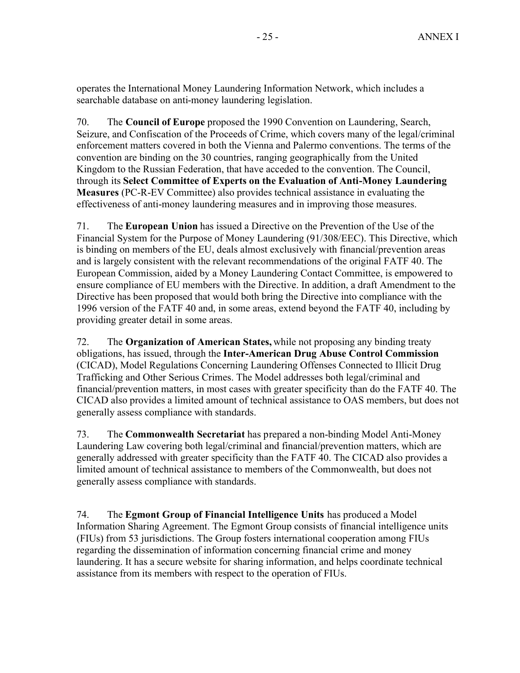operates the International Money Laundering Information Network, which includes a searchable database on anti-money laundering legislation.

70. The **Council of Europe** proposed the 1990 Convention on Laundering, Search, Seizure, and Confiscation of the Proceeds of Crime, which covers many of the legal/criminal enforcement matters covered in both the Vienna and Palermo conventions. The terms of the convention are binding on the 30 countries, ranging geographically from the United Kingdom to the Russian Federation, that have acceded to the convention. The Council, through its **Select Committee of Experts on the Evaluation of Anti-Money Laundering Measures** (PC-R-EV Committee) also provides technical assistance in evaluating the effectiveness of anti-money laundering measures and in improving those measures.

71. The **European Union** has issued a Directive on the Prevention of the Use of the Financial System for the Purpose of Money Laundering (91/308/EEC). This Directive, which is binding on members of the EU, deals almost exclusively with financial/prevention areas and is largely consistent with the relevant recommendations of the original FATF 40. The European Commission, aided by a Money Laundering Contact Committee, is empowered to ensure compliance of EU members with the Directive. In addition, a draft Amendment to the Directive has been proposed that would both bring the Directive into compliance with the 1996 version of the FATF 40 and, in some areas, extend beyond the FATF 40, including by providing greater detail in some areas.

72. The **Organization of American States,** while not proposing any binding treaty obligations, has issued, through the **Inter-American Drug Abuse Control Commission** (CICAD), Model Regulations Concerning Laundering Offenses Connected to Illicit Drug Trafficking and Other Serious Crimes. The Model addresses both legal/criminal and financial/prevention matters, in most cases with greater specificity than do the FATF 40. The CICAD also provides a limited amount of technical assistance to OAS members, but does not generally assess compliance with standards.

73. The **Commonwealth Secretariat** has prepared a non-binding Model Anti-Money Laundering Law covering both legal/criminal and financial/prevention matters, which are generally addressed with greater specificity than the FATF 40. The CICAD also provides a limited amount of technical assistance to members of the Commonwealth, but does not generally assess compliance with standards.

74. The **Egmont Group of Financial Intelligence Units** has produced a Model Information Sharing Agreement. The Egmont Group consists of financial intelligence units (FIUs) from 53 jurisdictions. The Group fosters international cooperation among FIUs regarding the dissemination of information concerning financial crime and money laundering. It has a secure website for sharing information, and helps coordinate technical assistance from its members with respect to the operation of FIUs.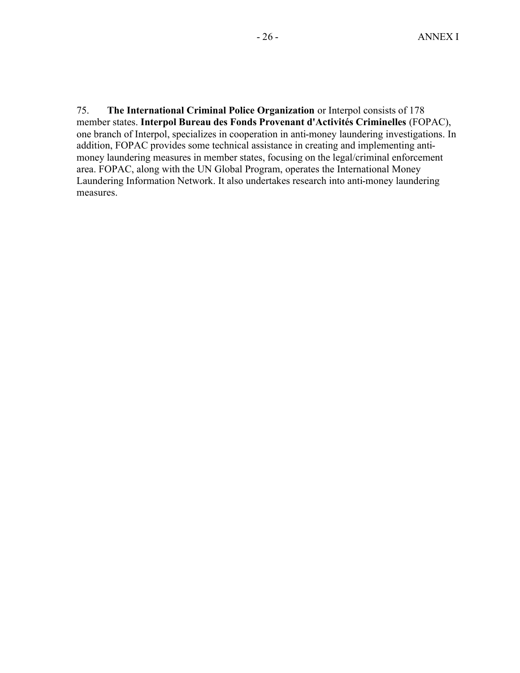75. **The International Criminal Police Organization** or Interpol consists of 178 member states. **Interpol Bureau des Fonds Provenant d'Activités Criminelles** (FOPAC), one branch of Interpol, specializes in cooperation in anti-money laundering investigations. In addition, FOPAC provides some technical assistance in creating and implementing antimoney laundering measures in member states, focusing on the legal/criminal enforcement area. FOPAC, along with the UN Global Program, operates the International Money Laundering Information Network. It also undertakes research into anti-money laundering measures.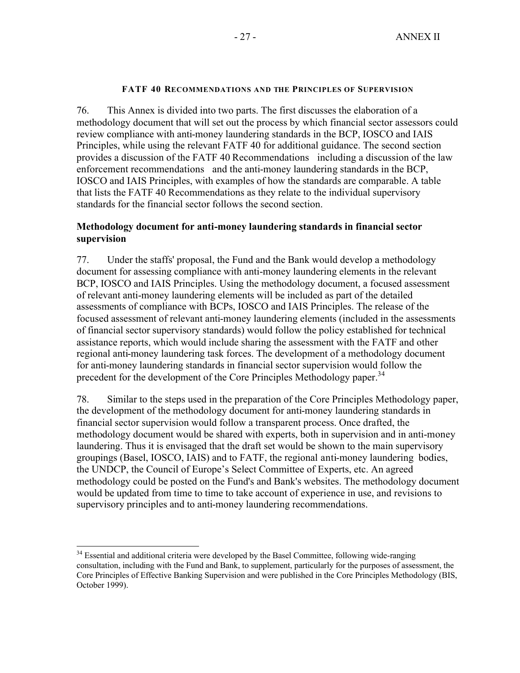#### **FATF 40 RECOMMENDATIONS AND THE PRINCIPLES OF SUPERVISION**

76. This Annex is divided into two parts. The first discusses the elaboration of a methodology document that will set out the process by which financial sector assessors could review compliance with anti-money laundering standards in the BCP, IOSCO and IAIS Principles, while using the relevant FATF 40 for additional guidance. The second section provides a discussion of the FATF 40 Recommendations including a discussion of the law enforcement recommendations and the anti-money laundering standards in the BCP, IOSCO and IAIS Principles, with examples of how the standards are comparable. A table that lists the FATF 40 Recommendations as they relate to the individual supervisory standards for the financial sector follows the second section.

### **Methodology document for anti-money laundering standards in financial sector supervision**

77. Under the staffs' proposal, the Fund and the Bank would develop a methodology document for assessing compliance with anti-money laundering elements in the relevant BCP, IOSCO and IAIS Principles. Using the methodology document, a focused assessment of relevant anti-money laundering elements will be included as part of the detailed assessments of compliance with BCPs, IOSCO and IAIS Principles. The release of the focused assessment of relevant anti-money laundering elements (included in the assessments of financial sector supervisory standards) would follow the policy established for technical assistance reports, which would include sharing the assessment with the FATF and other regional anti-money laundering task forces. The development of a methodology document for anti-money laundering standards in financial sector supervision would follow the precedent for the development of the Core Principles Methodology paper.<sup>34</sup>

78. Similar to the steps used in the preparation of the Core Principles Methodology paper, the development of the methodology document for anti-money laundering standards in financial sector supervision would follow a transparent process. Once drafted, the methodology document would be shared with experts, both in supervision and in anti-money laundering. Thus it is envisaged that the draft set would be shown to the main supervisory groupings (Basel, IOSCO, IAIS) and to FATF, the regional anti-money laundering bodies, the UNDCP, the Council of Europe's Select Committee of Experts, etc. An agreed methodology could be posted on the Fund's and Bank's websites. The methodology document would be updated from time to time to take account of experience in use, and revisions to supervisory principles and to anti-money laundering recommendations.

<sup>1</sup> <sup>34</sup> Essential and additional criteria were developed by the Basel Committee, following wide-ranging consultation, including with the Fund and Bank, to supplement, particularly for the purposes of assessment, the Core Principles of Effective Banking Supervision and were published in the Core Principles Methodology (BIS, October 1999).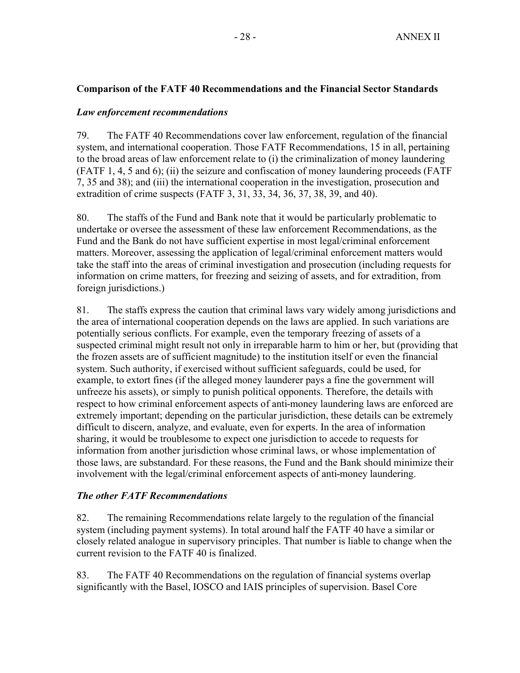## **Comparison of the FATF 40 Recommendations and the Financial Sector Standards**

### *Law enforcement recommendations*

79. The FATF 40 Recommendations cover law enforcement, regulation of the financial system, and international cooperation. Those FATF Recommendations, 15 in all, pertaining to the broad areas of law enforcement relate to (i) the criminalization of money laundering (FATF 1, 4, 5 and 6); (ii) the seizure and confiscation of money laundering proceeds (FATF 7, 35 and 38); and (iii) the international cooperation in the investigation, prosecution and extradition of crime suspects (FATF 3, 31, 33, 34, 36, 37, 38, 39, and 40).

80. The staffs of the Fund and Bank note that it would be particularly problematic to undertake or oversee the assessment of these law enforcement Recommendations, as the Fund and the Bank do not have sufficient expertise in most legal/criminal enforcement matters. Moreover, assessing the application of legal/criminal enforcement matters would take the staff into the areas of criminal investigation and prosecution (including requests for information on crime matters, for freezing and seizing of assets, and for extradition, from foreign jurisdictions.)

81. The staffs express the caution that criminal laws vary widely among jurisdictions and the area of international cooperation depends on the laws are applied. In such variations are potentially serious conflicts. For example, even the temporary freezing of assets of a suspected criminal might result not only in irreparable harm to him or her, but (providing that the frozen assets are of sufficient magnitude) to the institution itself or even the financial system. Such authority, if exercised without sufficient safeguards, could be used, for example, to extort fines (if the alleged money launderer pays a fine the government will unfreeze his assets), or simply to punish political opponents. Therefore, the details with respect to how criminal enforcement aspects of anti-money laundering laws are enforced are extremely important; depending on the particular jurisdiction, these details can be extremely difficult to discern, analyze, and evaluate, even for experts. In the area of information sharing, it would be troublesome to expect one jurisdiction to accede to requests for information from another jurisdiction whose criminal laws, or whose implementation of those laws, are substandard. For these reasons, the Fund and the Bank should minimize their involvement with the legal/criminal enforcement aspects of anti-money laundering.

## *The other FATF Recommendations*

82. The remaining Recommendations relate largely to the regulation of the financial system (including payment systems). In total around half the FATF 40 have a similar or closely related analogue in supervisory principles. That number is liable to change when the current revision to the FATF 40 is finalized.

83. The FATF 40 Recommendations on the regulation of financial systems overlap significantly with the Basel, IOSCO and IAIS principles of supervision. Basel Core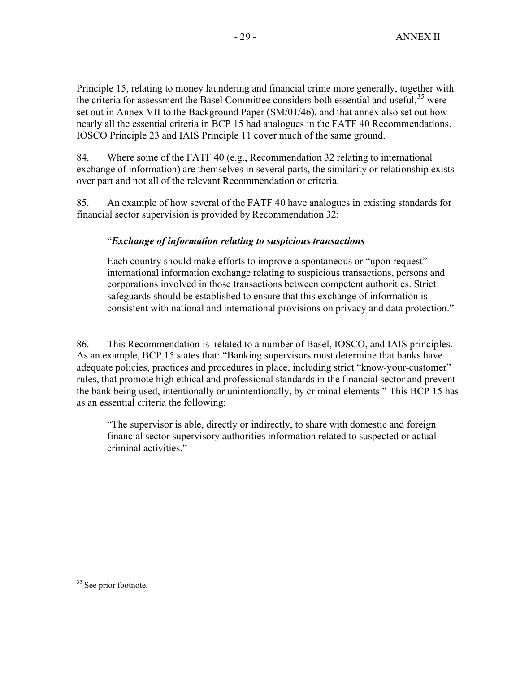Principle 15, relating to money laundering and financial crime more generally, together with the criteria for assessment the Basel Committee considers both essential and useful,  $35$  were set out in Annex VII to the Background Paper (SM/01/46), and that annex also set out how nearly all the essential criteria in BCP 15 had analogues in the FATF 40 Recommendations. IOSCO Principle 23 and IAIS Principle 11 cover much of the same ground.

84. Where some of the FATF 40 (e.g., Recommendation 32 relating to international exchange of information) are themselves in several parts, the similarity or relationship exists over part and not all of the relevant Recommendation or criteria.

85. An example of how several of the FATF 40 have analogues in existing standards for financial sector supervision is provided by Recommendation 32:

## "*Exchange of information relating to suspicious transactions*

Each country should make efforts to improve a spontaneous or "upon request" international information exchange relating to suspicious transactions, persons and corporations involved in those transactions between competent authorities. Strict safeguards should be established to ensure that this exchange of information is consistent with national and international provisions on privacy and data protection."

86. This Recommendation is related to a number of Basel, IOSCO, and IAIS principles. As an example, BCP 15 states that: "Banking supervisors must determine that banks have adequate policies, practices and procedures in place, including strict "know-your-customer" rules, that promote high ethical and professional standards in the financial sector and prevent the bank being used, intentionally or unintentionally, by criminal elements." This BCP 15 has as an essential criteria the following:

"The supervisor is able, directly or indirectly, to share with domestic and foreign financial sector supervisory authorities information related to suspected or actual criminal activities."

<sup>1</sup> <sup>35</sup> See prior footnote.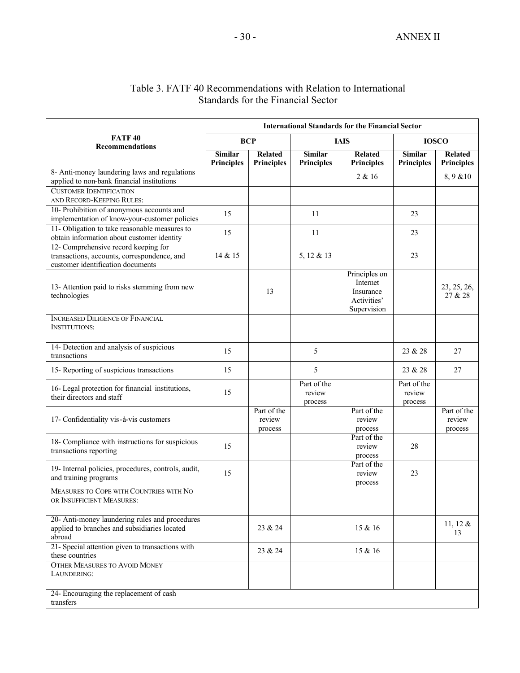| Table 3. FATF 40 Recommendations with Relation to International |
|-----------------------------------------------------------------|
| Standards for the Financial Sector                              |

|                                                                                                                          | <b>International Standards for the Financial Sector</b> |                                     |                                     |                                                                      |                                     |                                     |  |
|--------------------------------------------------------------------------------------------------------------------------|---------------------------------------------------------|-------------------------------------|-------------------------------------|----------------------------------------------------------------------|-------------------------------------|-------------------------------------|--|
| <b>FATF40</b><br><b>Recommendations</b>                                                                                  | <b>BCP</b>                                              |                                     | <b>IAIS</b>                         |                                                                      | <b>IOSCO</b>                        |                                     |  |
|                                                                                                                          | <b>Similar</b><br><b>Principles</b>                     | <b>Related</b><br><b>Principles</b> | <b>Similar</b><br><b>Principles</b> | <b>Related</b><br><b>Principles</b>                                  | <b>Similar</b><br><b>Principles</b> | <b>Related</b><br><b>Principles</b> |  |
| 8- Anti-money laundering laws and regulations<br>applied to non-bank financial institutions                              |                                                         |                                     |                                     | 2 & 16                                                               |                                     | 8,9 & 10                            |  |
| <b>CUSTOMER IDENTIFICATION</b><br>AND RECORD-KEEPING RULES:                                                              |                                                         |                                     |                                     |                                                                      |                                     |                                     |  |
| 10- Prohibition of anonymous accounts and<br>implementation of know-your-customer policies                               | 15                                                      |                                     | 11                                  |                                                                      | 23                                  |                                     |  |
| 11- Obligation to take reasonable measures to<br>obtain information about customer identity                              | 15                                                      |                                     | 11                                  |                                                                      | 23                                  |                                     |  |
| 12- Comprehensive record keeping for<br>transactions, accounts, correspondence, and<br>customer identification documents | 14 & 15                                                 |                                     | 5, 12 & 13                          |                                                                      | 23                                  |                                     |  |
| 13- Attention paid to risks stemming from new<br>technologies                                                            |                                                         | 13                                  |                                     | Principles on<br>Internet<br>Insurance<br>Activities'<br>Supervision |                                     | 23, 25, 26,<br>27 & 28              |  |
| <b>INCREASED DILIGENCE OF FINANCIAL</b><br><b>INSTITUTIONS:</b>                                                          |                                                         |                                     |                                     |                                                                      |                                     |                                     |  |
| 14- Detection and analysis of suspicious<br>transactions                                                                 | 15                                                      |                                     | 5                                   |                                                                      | 23 & 28                             | 27                                  |  |
| 15- Reporting of suspicious transactions                                                                                 | 15                                                      |                                     | 5                                   |                                                                      | 23 & 28                             | 27                                  |  |
| 16- Legal protection for financial institutions,<br>their directors and staff                                            | 15                                                      |                                     | Part of the<br>review<br>process    |                                                                      | Part of the<br>review<br>process    |                                     |  |
| 17- Confidentiality vis-à-vis customers                                                                                  |                                                         | Part of the<br>review<br>process    |                                     | Part of the<br>review<br>process                                     |                                     | Part of the<br>review<br>process    |  |
| 18- Compliance with instructions for suspicious<br>transactions reporting                                                | 15                                                      |                                     |                                     | Part of the<br>review<br>process                                     | 28                                  |                                     |  |
| 19- Internal policies, procedures, controls, audit,<br>and training programs                                             | 15                                                      |                                     |                                     | Part of the<br>review<br>process                                     | 23                                  |                                     |  |
| MEASURES TO COPE WITH COUNTRIES WITH NO<br>OR INSUFFICIENT MEASURES:                                                     |                                                         |                                     |                                     |                                                                      |                                     |                                     |  |
| 20- Anti-money laundering rules and procedures<br>applied to branches and subsidiaries located<br>abroad                 |                                                         | 23 & 24                             |                                     | 15 & 16                                                              |                                     | 11, 12 $\&$<br>13                   |  |
| 21- Special attention given to transactions with<br>these countries                                                      |                                                         | 23 & 24                             |                                     | 15 & 16                                                              |                                     |                                     |  |
| <b>OTHER MEASURES TO AVOID MONEY</b><br>LAUNDERING:                                                                      |                                                         |                                     |                                     |                                                                      |                                     |                                     |  |
| 24- Encouraging the replacement of cash<br>transfers                                                                     |                                                         |                                     |                                     |                                                                      |                                     |                                     |  |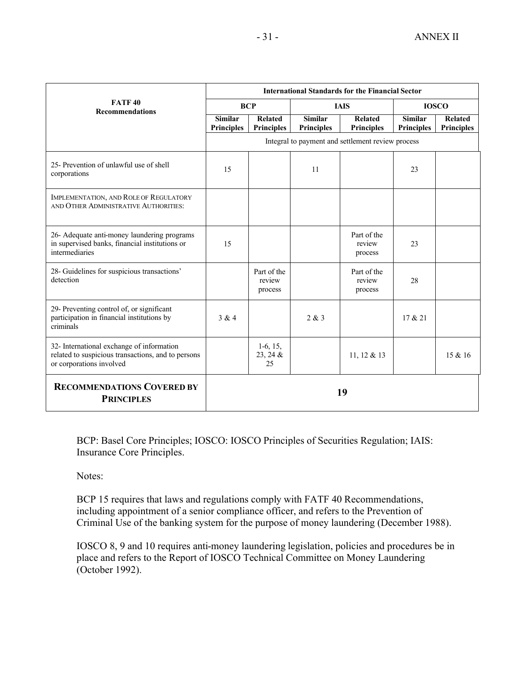|                                                                                                                             | <b>International Standards for the Financial Sector</b> |                                     |                                     |                                     |                                     |                                     |  |
|-----------------------------------------------------------------------------------------------------------------------------|---------------------------------------------------------|-------------------------------------|-------------------------------------|-------------------------------------|-------------------------------------|-------------------------------------|--|
| <b>FATF40</b><br><b>Recommendations</b>                                                                                     | <b>BCP</b>                                              |                                     | <b>IAIS</b>                         |                                     | <b>IOSCO</b>                        |                                     |  |
|                                                                                                                             | <b>Similar</b><br><b>Principles</b>                     | <b>Related</b><br><b>Principles</b> | <b>Similar</b><br><b>Principles</b> | <b>Related</b><br><b>Principles</b> | <b>Similar</b><br><b>Principles</b> | <b>Related</b><br><b>Principles</b> |  |
|                                                                                                                             | Integral to payment and settlement review process       |                                     |                                     |                                     |                                     |                                     |  |
| 25- Prevention of unlawful use of shell<br>corporations                                                                     | 15                                                      |                                     | 11                                  |                                     | 23                                  |                                     |  |
| IMPLEMENTATION, AND ROLE OF REGULATORY<br>AND OTHER ADMINISTRATIVE AUTHORITIES:                                             |                                                         |                                     |                                     |                                     |                                     |                                     |  |
| 26- Adequate anti-money laundering programs<br>in supervised banks, financial institutions or<br>intermediaries             | 15                                                      |                                     |                                     | Part of the<br>review<br>process    | 23                                  |                                     |  |
| 28- Guidelines for suspicious transactions'<br>detection                                                                    |                                                         | Part of the<br>review<br>process    |                                     | Part of the<br>review<br>process    | 28                                  |                                     |  |
| 29- Preventing control of, or significant<br>participation in financial institutions by<br>criminals                        | 3 & 4                                                   |                                     | 2 & 3                               |                                     | 17 & 21                             |                                     |  |
| 32- International exchange of information<br>related to suspicious transactions, and to persons<br>or corporations involved |                                                         | $1-6, 15,$<br>23, 24 &<br>25        |                                     | 11, 12 & 13                         |                                     | 15 & 16                             |  |
| <b>RECOMMENDATIONS COVERED BY</b><br><b>PRINCIPLES</b>                                                                      |                                                         |                                     | 19                                  |                                     |                                     |                                     |  |

BCP: Basel Core Principles; IOSCO: IOSCO Principles of Securities Regulation; IAIS: Insurance Core Principles.

Notes:

BCP 15 requires that laws and regulations comply with FATF 40 Recommendations, including appointment of a senior compliance officer, and refers to the Prevention of Criminal Use of the banking system for the purpose of money laundering (December 1988).

IOSCO 8, 9 and 10 requires anti-money laundering legislation, policies and procedures be in place and refers to the Report of IOSCO Technical Committee on Money Laundering (October 1992).